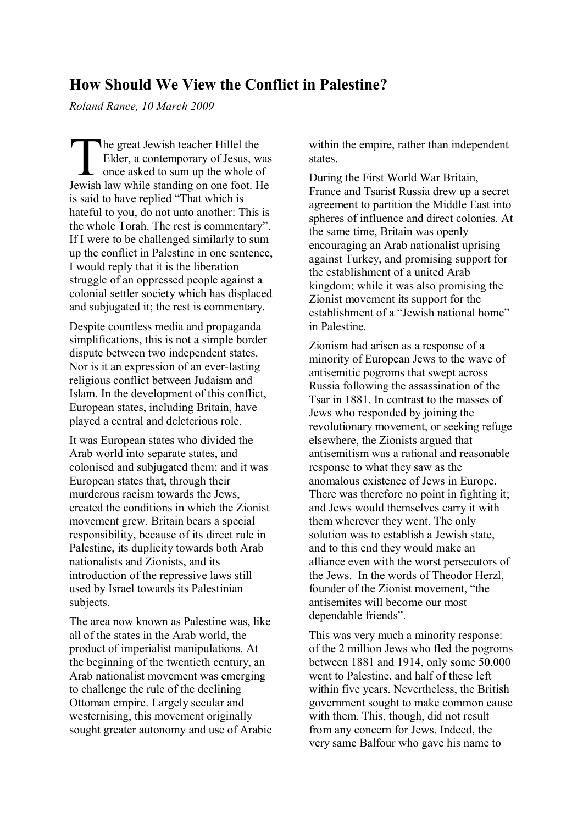## **How Should We View the Conflict in Palestine?**

*Roland Rance, 10 March 2009*

he great Jewish teacher Hillel the Elder, a contemporary of Jesus, was once asked to sum up the whole of Jewish law while standing on one foot. He is said to have replied "That which is hateful to you, do not unto another: This is the whole Torah. The rest is commentary". If I were to be challenged similarly to sum up the conflict in Palestine in one sentence, I would reply that it is the liberation struggle of an oppressed people against a colonial settler society which has displaced and subjugated it; the rest is commentary.  $\begin{array}{c}\n\hline\n\end{array}$ <br>
Iewish

Despite countless media and propaganda simplifications, this is not a simple border dispute between two independent states. Nor is it an expression of an ever-lasting religious conflict between Judaism and Islam. In the development of this conflict, European states, including Britain, have played a central and deleterious role.

It was European states who divided the Arab world into separate states, and colonised and subjugated them; and it was European states that, through their murderous racism towards the Jews, created the conditions in which the Zionist movement grew. Britain bears a special responsibility, because of its direct rule in Palestine, its duplicity towards both Arab nationalists and Zionists, and its introduction of the repressive laws still used by Israel towards its Palestinian subjects.

The area now known as Palestine was, like all of the states in the Arab world, the product of imperialist manipulations. At the beginning of the twentieth century, an Arab nationalist movement was emerging to challenge the rule of the declining Ottoman empire. Largely secular and westernising, this movement originally sought greater autonomy and use of Arabic within the empire, rather than independent states.

During the First World War Britain, France and Tsarist Russia drew up a secret agreement to partition the Middle East into spheres of influence and direct colonies. At the same time, Britain was openly encouraging an Arab nationalist uprising against Turkey, and promising support for the establishment of a united Arab kingdom; while it was also promising the Zionist movement its support for the establishment of a "Jewish national home" in Palestine.

Zionism had arisen as a response of a minority of European Jews to the wave of antisemitic pogroms that swept across Russia following the assassination of the Tsar in 1881. In contrast to the masses of Jews who responded by joining the revolutionary movement, or seeking refuge elsewhere, the Zionists argued that antisemitism was a rational and reasonable response to what they saw as the anomalous existence of Jews in Europe. There was therefore no point in fighting it; and Jews would themselves carry it with them wherever they went. The only solution was to establish a Jewish state, and to this end they would make an alliance even with the worst persecutors of the Jews. In the words of Theodor Herzl, founder of the Zionist movement, "the antisemites will become our most dependable friends".

This was very much a minority response: of the 2 million Jews who fled the pogroms between 1881 and 1914, only some 50,000 went to Palestine, and half of these left within five years. Nevertheless, the British government sought to make common cause with them. This, though, did not result from any concern for Jews. Indeed, the very same Balfour who gave his name to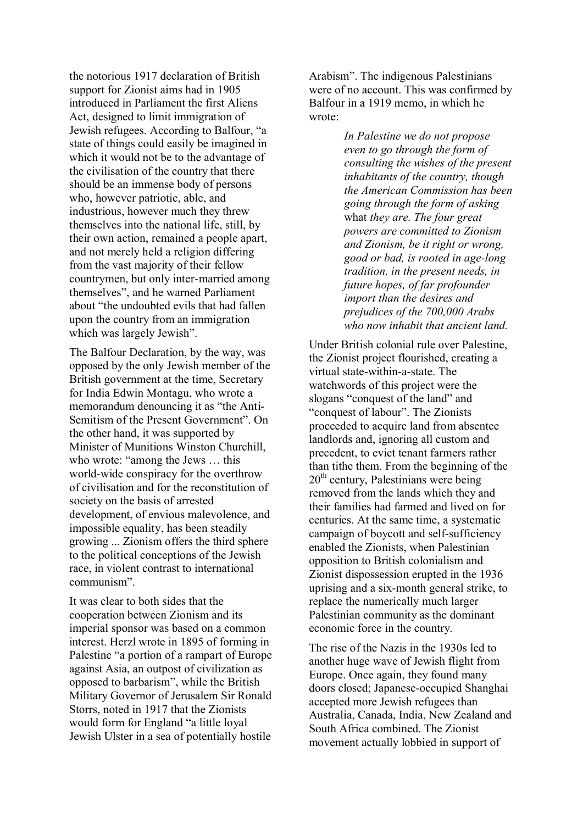the notorious 1917 declaration of British support for Zionist aims had in 1905 introduced in Parliament the first Aliens Act, designed to limit immigration of Jewish refugees. According to Balfour, "a state of things could easily be imagined in which it would not be to the advantage of the civilisation of the country that there should be an immense body of persons who, however patriotic, able, and industrious, however much they threw themselves into the national life, still, by their own action, remained a people apart, and not merely held a religion differing from the vast majority of their fellow countrymen, but only inter-married among themselves", and he warned Parliament about "the undoubted evils that had fallen upon the country from an immigration which was largely Jewish".

The Balfour Declaration, by the way, was opposed by the only Jewish member of the British government at the time, Secretary for India Edwin Montagu, who wrote a memorandum denouncing it as "the Anti-Semitism of the Present Government". On the other hand, it was supported by Minister of Munitions Winston Churchill, who wrote: "among the Jews … this world-wide conspiracy for the overthrow of civilisation and for the reconstitution of society on the basis of arrested development, of envious malevolence, and impossible equality, has been steadily growing ... Zionism offers the third sphere to the political conceptions of the Jewish race, in violent contrast to international communism".

It was clear to both sides that the cooperation between Zionism and its imperial sponsor was based on a common interest. Herzl wrote in 1895 of forming in Palestine "a portion of a rampart of Europe against Asia, an outpost of civilization as opposed to barbarism", while the British Military Governor of Jerusalem Sir Ronald Storrs, noted in 1917 that the Zionists would form for England "a little loyal Jewish Ulster in a sea of potentially hostile

Arabism". The indigenous Palestinians were of no account. This was confirmed by Balfour in a 1919 memo, in which he wrote:

> *In Palestine we do not propose even to go through the form of consulting the wishes of the present inhabitants of the country, though the American Commission has been going through the form of asking*  what *they are. The four great powers are committed to Zionism and Zionism, be it right or wrong, good or bad, is rooted in age-long tradition, in the present needs, in future hopes, of far profounder import than the desires and prejudices of the 700,000 Arabs who now inhabit that ancient land.*

Under British colonial rule over Palestine, the Zionist project flourished, creating a virtual state-within-a-state. The watchwords of this project were the slogans "conquest of the land" and "conquest of labour". The Zionists proceeded to acquire land from absentee landlords and, ignoring all custom and precedent, to evict tenant farmers rather than tithe them. From the beginning of the  $20<sup>th</sup>$  century, Palestinians were being removed from the lands which they and their families had farmed and lived on for centuries. At the same time, a systematic campaign of boycott and self-sufficiency enabled the Zionists, when Palestinian opposition to British colonialism and Zionist dispossession erupted in the 1936 uprising and a six-month general strike, to replace the numerically much larger Palestinian community as the dominant economic force in the country.

The rise of the Nazis in the 1930s led to another huge wave of Jewish flight from Europe. Once again, they found many doors closed; Japanese-occupied Shanghai accepted more Jewish refugees than Australia, Canada, India, New Zealand and South Africa combined. The Zionist movement actually lobbied in support of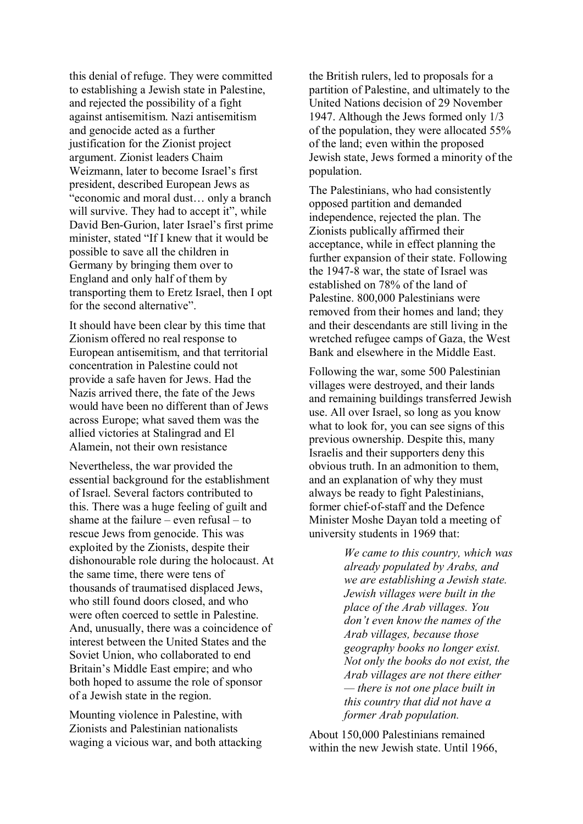this denial of refuge. They were committed to establishing a Jewish state in Palestine, and rejected the possibility of a fight against antisemitism. Nazi antisemitism and genocide acted as a further justification for the Zionist project argument. Zionist leaders Chaim Weizmann, later to become Israel's first president, described European Jews as "economic and moral dust… only a branch will survive. They had to accept it", while David Ben-Gurion, later Israel's first prime minister, stated "If I knew that it would be possible to save all the children in Germany by bringing them over to England and only half of them by transporting them to Eretz Israel, then I opt for the second alternative".

It should have been clear by this time that Zionism offered no real response to European antisemitism, and that territorial concentration in Palestine could not provide a safe haven for Jews. Had the Nazis arrived there, the fate of the Jews would have been no different than of Jews across Europe; what saved them was the allied victories at Stalingrad and El Alamein, not their own resistance

Nevertheless, the war provided the essential background for the establishment of Israel. Several factors contributed to this. There was a huge feeling of guilt and shame at the failure – even refusal – to rescue Jews from genocide. This was exploited by the Zionists, despite their dishonourable role during the holocaust. At the same time, there were tens of thousands of traumatised displaced Jews, who still found doors closed, and who were often coerced to settle in Palestine. And, unusually, there was a coincidence of interest between the United States and the Soviet Union, who collaborated to end Britain's Middle East empire; and who both hoped to assume the role of sponsor of a Jewish state in the region.

Mounting violence in Palestine, with Zionists and Palestinian nationalists waging a vicious war, and both attacking the British rulers, led to proposals for a partition of Palestine, and ultimately to the United Nations decision of 29 November 1947. Although the Jews formed only 1/3 of the population, they were allocated 55% of the land; even within the proposed Jewish state, Jews formed a minority of the population.

The Palestinians, who had consistently opposed partition and demanded independence, rejected the plan. The Zionists publically affirmed their acceptance, while in effect planning the further expansion of their state. Following the 1947-8 war, the state of Israel was established on 78% of the land of Palestine. 800,000 Palestinians were removed from their homes and land; they and their descendants are still living in the wretched refugee camps of Gaza, the West Bank and elsewhere in the Middle East.

Following the war, some 500 Palestinian villages were destroyed, and their lands and remaining buildings transferred Jewish use. All over Israel, so long as you know what to look for, you can see signs of this previous ownership. Despite this, many Israelis and their supporters deny this obvious truth. In an admonition to them, and an explanation of why they must always be ready to fight Palestinians, former chief-of-staff and the Defence Minister Moshe Dayan told a meeting of university students in 1969 that:

> *We came to this country, which was already populated by Arabs, and we are establishing a Jewish state. Jewish villages were built in the place of the Arab villages. You don't even know the names of the Arab villages, because those geography books no longer exist. Not only the books do not exist, the Arab villages are not there either — there is not one place built in this country that did not have a former Arab population.*

About 150,000 Palestinians remained within the new Jewish state. Until 1966,